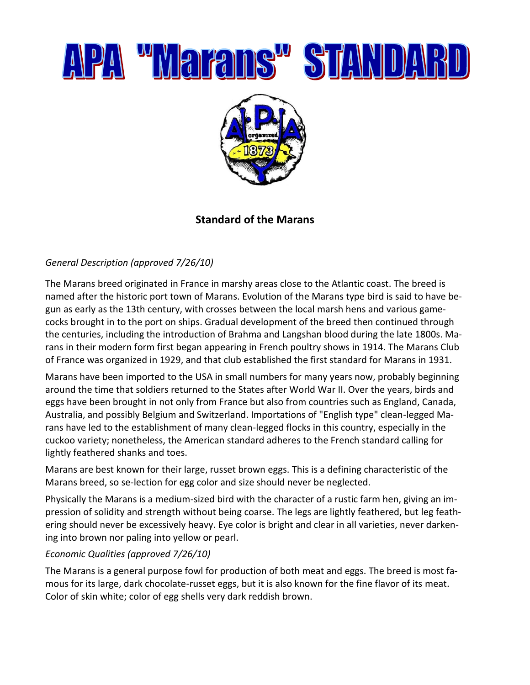

## **Standard of the Marans**

### *General Description (approved 7/26/10)*

The Marans breed originated in France in marshy areas close to the Atlantic coast. The breed is named after the historic port town of Marans. Evolution of the Marans type bird is said to have begun as early as the 13th century, with crosses between the local marsh hens and various gamecocks brought in to the port on ships. Gradual development of the breed then continued through the centuries, including the introduction of Brahma and Langshan blood during the late 1800s. Marans in their modern form first began appearing in French poultry shows in 1914. The Marans Club of France was organized in 1929, and that club established the first standard for Marans in 1931.

Marans have been imported to the USA in small numbers for many years now, probably beginning around the time that soldiers returned to the States after World War II. Over the years, birds and eggs have been brought in not only from France but also from countries such as England, Canada, Australia, and possibly Belgium and Switzerland. Importations of "English type" clean-legged Marans have led to the establishment of many clean-legged flocks in this country, especially in the cuckoo variety; nonetheless, the American standard adheres to the French standard calling for lightly feathered shanks and toes.

Marans are best known for their large, russet brown eggs. This is a defining characteristic of the Marans breed, so se-lection for egg color and size should never be neglected.

Physically the Marans is a medium-sized bird with the character of a rustic farm hen, giving an impression of solidity and strength without being coarse. The legs are lightly feathered, but leg feathering should never be excessively heavy. Eye color is bright and clear in all varieties, never darkening into brown nor paling into yellow or pearl.

### *Economic Qualities (approved 7/26/10)*

The Marans is a general purpose fowl for production of both meat and eggs. The breed is most famous for its large, dark chocolate-russet eggs, but it is also known for the fine flavor of its meat. Color of skin white; color of egg shells very dark reddish brown.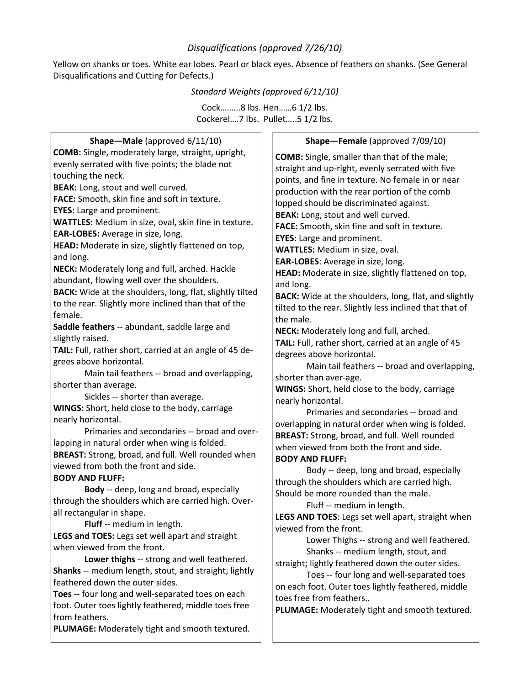### *Disqualifications (approved 7/26/10)*

Yellow on shanks or toes. White ear lobes. Pearl or black eyes. Absence of feathers on shanks. (See General Disqualifications and Cutting for Defects.)

#### *Standard Weights (approved 6/11/10)*

Cock….…..8 lbs. Hen……6 1/2 lbs. Cockerel….7 lbs. Pullet…..5 1/2 lbs.

| Shape-Male (approved 6/11/10)                             | Shape-Female (approved 7/09/10)                              |
|-----------------------------------------------------------|--------------------------------------------------------------|
| <b>COMB:</b> Single, moderately large, straight, upright, | <b>COMB:</b> Single, smaller than that of the male;          |
| evenly serrated with five points; the blade not           | straight and up-right, evenly serrated with five             |
| touching the neck.                                        | points, and fine in texture. No female in or near            |
| BEAK: Long, stout and well curved.                        | production with the rear portion of the comb                 |
| FACE: Smooth, skin fine and soft in texture.              | lopped should be discriminated against.                      |
| <b>EYES:</b> Large and prominent.                         | BEAK: Long, stout and well curved.                           |
| WATTLES: Medium in size, oval, skin fine in texture.      | FACE: Smooth, skin fine and soft in texture.                 |
| EAR-LOBES: Average in size, long.                         | <b>EYES:</b> Large and prominent.                            |
| HEAD: Moderate in size, slightly flattened on top,        | <b>WATTLES:</b> Medium in size, oval.                        |
| and long.                                                 | EAR-LOBES: Average in size, long.                            |
| NECK: Moderately long and full, arched. Hackle            | HEAD: Moderate in size, slightly flattened on top,           |
| abundant, flowing well over the shoulders.                | and long.                                                    |
| BACK: Wide at the shoulders, long, flat, slightly tilted  | <b>BACK:</b> Wide at the shoulders, long, flat, and slightly |
| to the rear. Slightly more inclined than that of the      | tilted to the rear. Slightly less inclined that that of      |
| female.                                                   | the male.                                                    |
| Saddle feathers -- abundant, saddle large and             | NECK: Moderately long and full, arched.                      |
| slightly raised.                                          | TAIL: Full, rather short, carried at an angle of 45          |
| TAIL: Full, rather short, carried at an angle of 45 de-   | degrees above horizontal.                                    |
| grees above horizontal.                                   | Main tail feathers -- broad and overlapping,                 |
| Main tail feathers -- broad and overlapping,              | shorter than aver-age.                                       |
| shorter than average.                                     | WINGS: Short, held close to the body, carriage               |
| Sickles -- shorter than average.                          | nearly horizontal.                                           |
| WINGS: Short, held close to the body, carriage            | Primaries and secondaries -- broad and                       |
| nearly horizontal.                                        | overlapping in natural order when wing is folded.            |
| Primaries and secondaries -- broad and over-              | <b>BREAST:</b> Strong, broad, and full. Well rounded         |
| lapping in natural order when wing is folded.             | when viewed from both the front and side.                    |
| BREAST: Strong, broad, and full. Well rounded when        | <b>BODY AND FLUFF:</b>                                       |
| viewed from both the front and side.                      | Body -- deep, long and broad, especially                     |
| <b>BODY AND FLUFF:</b>                                    | through the shoulders which are carried high.                |
| Body -- deep, long and broad, especially                  | Should be more rounded than the male.                        |
| through the shoulders which are carried high. Over-       | Fluff -- medium in length.                                   |
| all rectangular in shape.                                 | LEGS AND TOES: Legs set well apart, straight when            |
| Fluff -- medium in length.                                | viewed from the front.                                       |
| LEGS and TOES: Legs set well apart and straight           | Lower Thighs -- strong and well feathered.                   |
| when viewed from the front.                               | Shanks -- medium length, stout, and                          |
| Lower thighs -- strong and well feathered.                | straight; lightly feathered down the outer sides.            |
| Shanks -- medium length, stout, and straight; lightly     | Toes -- four long and well-separated toes                    |
| feathered down the outer sides.                           | on each foot. Outer toes lightly feathered, middle           |
| Toes -- four long and well-separated toes on each         | toes free from feathers                                      |
| foot. Outer toes lightly feathered, middle toes free      | PLUMAGE: Moderately tight and smooth textured.               |
| from feathers.                                            |                                                              |
| PLUMAGE: Moderately tight and smooth textured.            |                                                              |
|                                                           |                                                              |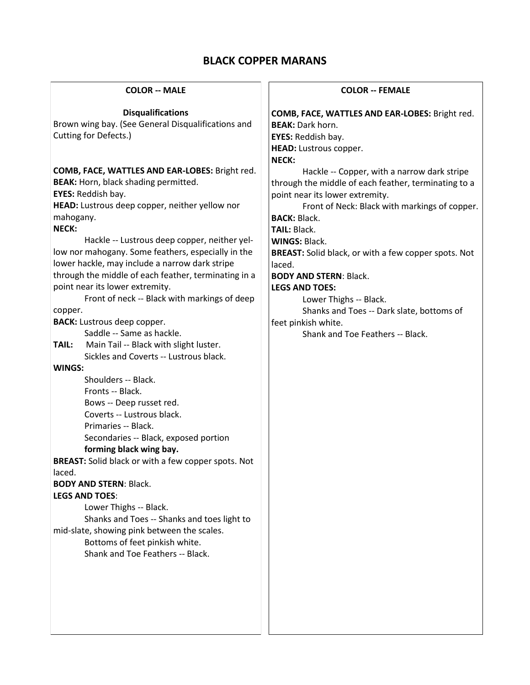# **BLACK COPPER MARANS**

| <b>COLOR -- MALE</b>                                                                                                                                                                                                                                                                                                                                                                                                                                                                                                                                                                                                                                                                                                                                                                                                                                                                                                                                                                                                                                                                                                                                                                                                | <b>COLOR -- FEMALE</b>                                                                                                                                                                                                                                                                                                                                                                                                                                                                                                                      |
|---------------------------------------------------------------------------------------------------------------------------------------------------------------------------------------------------------------------------------------------------------------------------------------------------------------------------------------------------------------------------------------------------------------------------------------------------------------------------------------------------------------------------------------------------------------------------------------------------------------------------------------------------------------------------------------------------------------------------------------------------------------------------------------------------------------------------------------------------------------------------------------------------------------------------------------------------------------------------------------------------------------------------------------------------------------------------------------------------------------------------------------------------------------------------------------------------------------------|---------------------------------------------------------------------------------------------------------------------------------------------------------------------------------------------------------------------------------------------------------------------------------------------------------------------------------------------------------------------------------------------------------------------------------------------------------------------------------------------------------------------------------------------|
| <b>Disqualifications</b><br>Brown wing bay. (See General Disqualifications and<br>Cutting for Defects.)                                                                                                                                                                                                                                                                                                                                                                                                                                                                                                                                                                                                                                                                                                                                                                                                                                                                                                                                                                                                                                                                                                             | COMB, FACE, WATTLES AND EAR-LOBES: Bright red.<br><b>BEAK: Dark horn.</b><br>EYES: Reddish bay.<br>HEAD: Lustrous copper.                                                                                                                                                                                                                                                                                                                                                                                                                   |
| COMB, FACE, WATTLES AND EAR-LOBES: Bright red.<br><b>BEAK:</b> Horn, black shading permitted.<br>EYES: Reddish bay.<br>HEAD: Lustrous deep copper, neither yellow nor<br>mahogany.<br><b>NECK:</b><br>Hackle -- Lustrous deep copper, neither yel-<br>low nor mahogany. Some feathers, especially in the<br>lower hackle, may include a narrow dark stripe<br>through the middle of each feather, terminating in a<br>point near its lower extremity.<br>Front of neck -- Black with markings of deep<br>copper.<br><b>BACK:</b> Lustrous deep copper.<br>Saddle -- Same as hackle.<br>Main Tail -- Black with slight luster.<br>TAIL:<br>Sickles and Coverts -- Lustrous black.<br>WINGS:<br>Shoulders -- Black.<br>Fronts -- Black.<br>Bows -- Deep russet red.<br>Coverts -- Lustrous black.<br>Primaries -- Black.<br>Secondaries -- Black, exposed portion<br>forming black wing bay.<br>BREAST: Solid black or with a few copper spots. Not<br>laced.<br><b>BODY AND STERN: Black.</b><br><b>LEGS AND TOES:</b><br>Lower Thighs -- Black.<br>Shanks and Toes -- Shanks and toes light to<br>mid-slate, showing pink between the scales.<br>Bottoms of feet pinkish white.<br>Shank and Toe Feathers -- Black. | <b>NECK:</b><br>Hackle -- Copper, with a narrow dark stripe<br>through the middle of each feather, terminating to a<br>point near its lower extremity.<br>Front of Neck: Black with markings of copper.<br><b>BACK: Black.</b><br>TAIL: Black.<br><b>WINGS: Black.</b><br><b>BREAST:</b> Solid black, or with a few copper spots. Not<br>laced.<br><b>BODY AND STERN: Black.</b><br><b>LEGS AND TOES:</b><br>Lower Thighs -- Black.<br>Shanks and Toes -- Dark slate, bottoms of<br>feet pinkish white.<br>Shank and Toe Feathers -- Black. |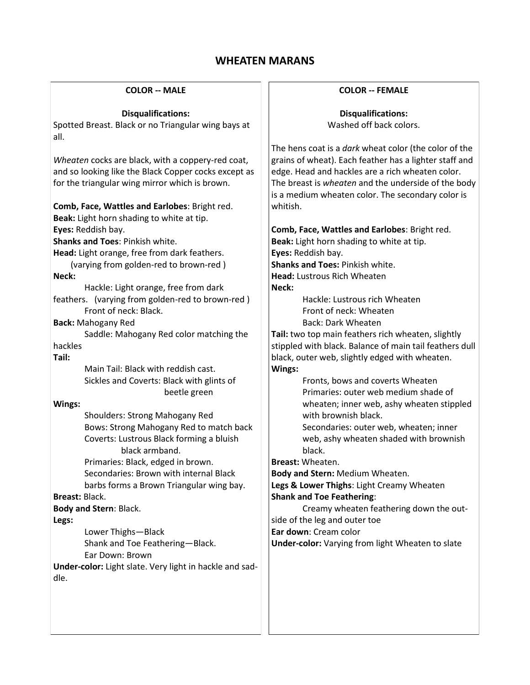## **WHEATEN MARANS**

#### **COLOR -- MALE**

#### **Disqualifications:**

Spotted Breast. Black or no Triangular wing bays at all.

*Wheaten* cocks are black, with a coppery-red coat, and so looking like the Black Copper cocks except as for the triangular wing mirror which is brown.

## **Comb, Face, Wattles and Earlobes**: Bright red.

**Beak:** Light horn shading to white at tip.

**Eyes:** Reddish bay.

**Shanks and Toes**: Pinkish white.

**Head:** Light orange, free from dark feathers.

 (varying from golden-red to brown-red ) **Neck:**

Hackle: Light orange, free from dark

feathers. (varying from golden-red to brown-red ) Front of neck: Black.

**Back:** Mahogany Red

Saddle: Mahogany Red color matching the hackles

**Tail:**

Main Tail: Black with reddish cast. Sickles and Coverts: Black with glints of beetle green

#### **Wings:**

Shoulders: Strong Mahogany Red Bows: Strong Mahogany Red to match back Coverts: Lustrous Black forming a bluish black armband.

Primaries: Black, edged in brown. Secondaries: Brown with internal Black barbs forms a Brown Triangular wing bay.

### **Breast:** Black.

**Body and Stern**: Black.

**Legs:**

Lower Thighs—Black

Shank and Toe Feathering—Black. Ear Down: Brown

**Under-color:** Light slate. Very light in hackle and saddle.

#### **COLOR -- FEMALE**

**Disqualifications:**  Washed off back colors.

The hens coat is a *dark* wheat color (the color of the grains of wheat). Each feather has a lighter staff and edge. Head and hackles are a rich wheaten color. The breast is *wheaten* and the underside of the body is a medium wheaten color. The secondary color is whitish.

## **Comb, Face, Wattles and Earlobes**: Bright red.

**Beak:** Light horn shading to white at tip. **Eyes:** Reddish bay. **Shanks and Toes:** Pinkish white. **Head:** Lustrous Rich Wheaten **Neck:**

> Hackle: Lustrous rich Wheaten Front of neck: Wheaten Back: Dark Wheaten

**Tail:** two top main feathers rich wheaten, slightly stippled with black. Balance of main tail feathers dull black, outer web, slightly edged with wheaten. **Wings:** 

> Fronts, bows and coverts Wheaten Primaries: outer web medium shade of wheaten; inner web, ashy wheaten stippled with brownish black.

Secondaries: outer web, wheaten; inner web, ashy wheaten shaded with brownish black.

**Breast:** Wheaten.

**Body and Stern:** Medium Wheaten.

**Legs & Lower Thighs**: Light Creamy Wheaten **Shank and Toe Feathering**:

Creamy wheaten feathering down the outside of the leg and outer toe

**Ear down**: Cream color

**Under-color:** Varying from light Wheaten to slate